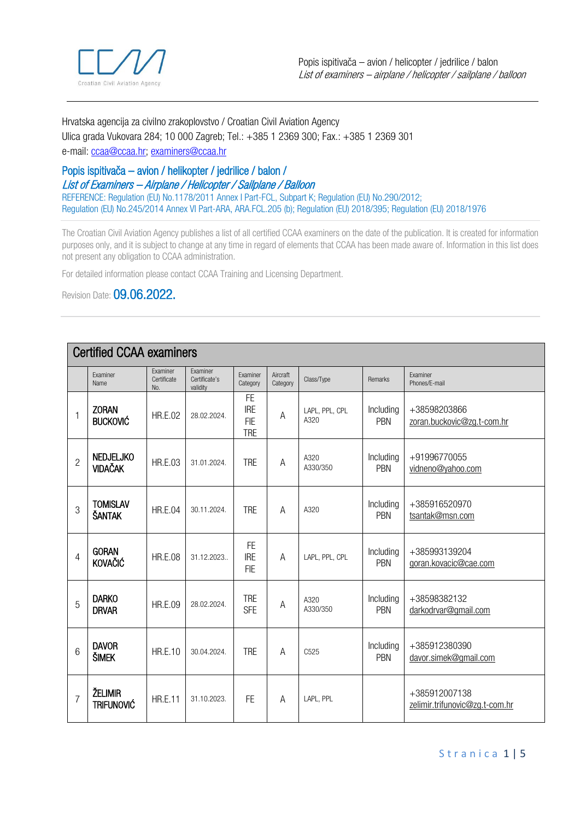

Hrvatska agencija za civilno zrakoplovstvo / Croatian Civil Aviation Agency Ulica grada Vukovara 284; 10 000 Zagreb; Tel.: +385 1 2369 300; Fax.: +385 1 2369 301 e-mail[: ccaa@ccaa.hr;](mailto:ccaa@ccaa.hr) examiners@ccaa.hr

## Popis ispitivača – avion / helikopter / jedrilice / balon / List of Examiners – Airplane / Helicopter / Sailplane / Balloon

REFERENCE: Regulation (EU) No.1178/2011 Annex I Part-FCL, Subpart K; Regulation (EU) No.290/2012; Regulation (EU) No.245/2014 Annex VI Part-ARA, ARA.FCL.205 (b); Regulation (EU) 2018/395; Regulation (EU) 2018/1976

The Croatian Civil Aviation Agency publishes a list of all certified CCAA examiners on the date of the publication. It is created for information purposes only, and it is subject to change at any time in regard of elements that CCAA has been made aware of. Information in this list does not present any obligation to CCAA administration.

For detailed information please contact CCAA Training and Licensing Department.

Revision Date: 09.06.2022.

| <b>Certified CCAA examiners</b> |                                    |                                       |                                              |                                                     |                      |                        |                  |                                                 |  |
|---------------------------------|------------------------------------|---------------------------------------|----------------------------------------------|-----------------------------------------------------|----------------------|------------------------|------------------|-------------------------------------------------|--|
|                                 | Examiner<br>Name                   | <b>Fxaminer</b><br>Certificate<br>No. | <b>Fxaminer</b><br>Certificate's<br>validity | Examiner<br>Category                                | Aircraft<br>Category | Class/Type             | Remarks          | Examiner<br>Phones/E-mail                       |  |
| 1                               | <b>ZORAN</b><br><b>BUCKOVIĆ</b>    | <b>HR.E.02</b>                        | 28.02.2024.                                  | <b>FE</b><br><b>IRE</b><br><b>FIE</b><br><b>TRE</b> | A                    | LAPL, PPL, CPL<br>A320 | Including<br>PBN | +38598203866<br>zoran.buckovic@zq.t-com.hr      |  |
| $\overline{2}$                  | <b>NEDJELJKO</b><br><b>VIDAČAK</b> | <b>HR.E.03</b>                        | 31.01.2024.                                  | <b>TRE</b>                                          | $\overline{A}$       | A320<br>A330/350       | Including<br>PBN | +91996770055<br>vidneno@yahoo.com               |  |
| 3                               | <b>TOMISLAV</b><br><b>ŠANTAK</b>   | <b>HR.E.04</b>                        | 30.11.2024.                                  | <b>TRE</b>                                          | A                    | A320                   | Including<br>PBN | +385916520970<br>tsantak@msn.com                |  |
| 4                               | <b>GORAN</b><br><b>KOVAČIĆ</b>     | <b>HR.E.08</b>                        | 31.12.2023                                   | <b>FE</b><br><b>IRE</b><br><b>FIE</b>               | A                    | LAPL, PPL, CPL         | Including<br>PBN | +385993139204<br>qoran.kovacic@cae.com          |  |
| 5                               | <b>DARKO</b><br><b>DRVAR</b>       | <b>HR.E.09</b>                        | 28.02.2024.                                  | <b>TRE</b><br><b>SFE</b>                            | Α                    | A320<br>A330/350       | Including<br>PBN | +38598382132<br>darkodrvar@gmail.com            |  |
| 6                               | <b>DAVOR</b><br><b>ŠIMEK</b>       | <b>HR.E.10</b>                        | 30.04.2024.                                  | <b>TRE</b>                                          | A                    | C <sub>525</sub>       | Including<br>PBN | +385912380390<br>davor.simek@qmail.com          |  |
| 7                               | ŽELIMIR<br><b>TRIFUNOVIĆ</b>       | <b>HR.E.11</b>                        | 31.10.2023.                                  | <b>FE</b>                                           | Α                    | LAPL, PPL              |                  | +385912007138<br>zelimir.trifunovic@zq.t-com.hr |  |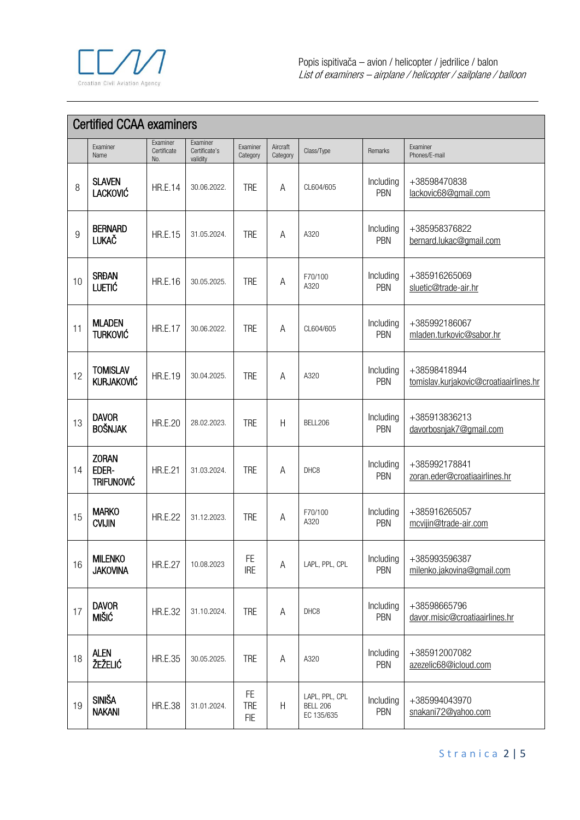

| <b>Certified CCAA examiners</b> |                                            |                                |                                              |                                       |                           |                                                 |                  |                                                        |  |  |
|---------------------------------|--------------------------------------------|--------------------------------|----------------------------------------------|---------------------------------------|---------------------------|-------------------------------------------------|------------------|--------------------------------------------------------|--|--|
|                                 | Examiner<br>Name                           | Examiner<br>Certificate<br>No. | <b>Fxaminer</b><br>Certificate's<br>validity | Examiner<br>Category                  | Aircraft<br>Category      | Class/Type                                      | Remarks          | Examiner<br>Phones/E-mail                              |  |  |
| 8                               | <b>SLAVEN</b><br><b>LACKOVIĆ</b>           | <b>HR.E.14</b>                 | 30.06.2022.                                  | <b>TRE</b>                            | A                         | CL604/605                                       | Including<br>PBN | +38598470838<br>lackovic68@gmail.com                   |  |  |
| 9                               | <b>BERNARD</b><br><b>LUKAČ</b>             | <b>HR.E.15</b>                 | 31.05.2024.                                  | <b>TRE</b>                            | Α                         | A320                                            | Including<br>PBN | +385958376822<br>bernard.lukac@gmail.com               |  |  |
| 10                              | <b>SRĐAN</b><br><b>LUETIĆ</b>              | <b>HR.E.16</b>                 | 30.05.2025.                                  | <b>TRE</b>                            | A                         | F70/100<br>A320                                 | Including<br>PBN | +385916265069<br>sluetic@trade-air.hr                  |  |  |
| 11                              | <b>MLADEN</b><br><b>TURKOVIĆ</b>           | <b>HR.E.17</b>                 | 30.06.2022.                                  | <b>TRE</b>                            | A                         | CL604/605                                       | Including<br>PBN | +385992186067<br>mladen.turkovic@sabor.hr              |  |  |
| 12                              | <b>TOMISLAV</b><br><b>KURJAKOVIĆ</b>       | <b>HR.E.19</b>                 | 30.04.2025.                                  | <b>TRE</b>                            | Α                         | A320                                            | Including<br>PBN | +38598418944<br>tomislav.kurjakovic@croatiaairlines.hr |  |  |
| 13                              | <b>DAVOR</b><br><b>BOŠNJAK</b>             | <b>HR.E.20</b>                 | 28.02.2023.                                  | <b>TRE</b>                            | H                         | BELL206                                         | Including<br>PBN | +385913836213<br>davorbosnjak7@gmail.com               |  |  |
| 14                              | <b>ZORAN</b><br>EDER-<br><b>TRIFUNOVIĆ</b> | <b>HR.E.21</b>                 | 31.03.2024.                                  | <b>TRE</b>                            | Α                         | DHC <sub>8</sub>                                | Including<br>PBN | +385992178841<br>zoran.eder@croatiaairlines.hr         |  |  |
| 15                              | <b>MARKO</b><br><b>CVIJIN</b>              | <b>HR.E.22</b>                 | 31.12.2023.                                  | <b>TRE</b>                            | Α                         | F70/100<br>A320                                 | Including<br>PBN | +385916265057<br>mcvijin@trade-air.com                 |  |  |
| 16                              | <b>MILENKO</b><br><b>JAKOVINA</b>          | <b>HR.E.27</b>                 | 10.08.2023                                   | <b>FE</b><br><b>IRE</b>               | Α                         | LAPL, PPL, CPL                                  | Including<br>PBN | +385993596387<br>milenko.jakovina@gmail.com            |  |  |
| 17                              | <b>DAVOR</b><br><b>MIŠIĆ</b>               | <b>HR.E.32</b>                 | 31.10.2024.                                  | <b>TRE</b>                            | Α                         | DHC8                                            | Including<br>PBN | +38598665796<br>davor.misic@croatiaairlines.hr         |  |  |
| 18                              | <b>ALEN</b><br>ŽEŽELIĆ                     | <b>HR.E.35</b>                 | 30.05.2025.                                  | <b>TRE</b>                            | A                         | A320                                            | Including<br>PBN | +385912007082<br>azezelic68@icloud.com                 |  |  |
| 19                              | <b>SINIŠA</b><br><b>NAKANI</b>             | <b>HR.E.38</b>                 | 31.01.2024.                                  | <b>FE</b><br><b>TRE</b><br><b>FIE</b> | $\boldsymbol{\mathsf{H}}$ | LAPL, PPL, CPL<br><b>BELL 206</b><br>EC 135/635 | Including<br>PBN | +385994043970<br>snakani72@yahoo.com                   |  |  |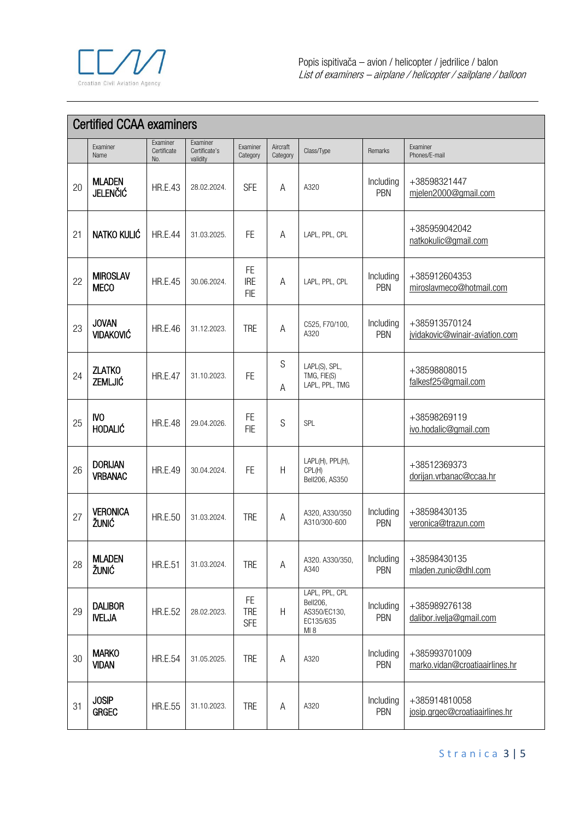

| <b>Certified CCAA examiners</b> |                                  |                                |                                       |                                       |                      |                                                                |                  |                                                 |  |  |
|---------------------------------|----------------------------------|--------------------------------|---------------------------------------|---------------------------------------|----------------------|----------------------------------------------------------------|------------------|-------------------------------------------------|--|--|
|                                 | Examiner<br>Name                 | Examiner<br>Certificate<br>No. | Examiner<br>Certificate's<br>validity | Examiner<br>Category                  | Aircraft<br>Category | Class/Type                                                     | Remarks          | Examiner<br>Phones/E-mail                       |  |  |
| 20                              | <b>MLADEN</b><br><b>JELENČIĆ</b> | <b>HR.E.43</b>                 | 28.02.2024.                           | <b>SFE</b>                            | Α                    | A320                                                           | Including<br>PBN | +38598321447<br>mjelen2000@gmail.com            |  |  |
| 21                              | NATKO KULIĆ                      | <b>HR.E.44</b>                 | 31.03.2025.                           | <b>FE</b>                             | Α                    | LAPL, PPL, CPL                                                 |                  | +385959042042<br>natkokulic@gmail.com           |  |  |
| 22                              | <b>MIROSLAV</b><br><b>MECO</b>   | <b>HR.E.45</b>                 | 30.06.2024.                           | <b>FE</b><br><b>IRE</b><br><b>FIE</b> | Α                    | LAPL, PPL, CPL                                                 | Including<br>PBN | +385912604353<br>miroslavmeco@hotmail.com       |  |  |
| 23                              | <b>JOVAN</b><br><b>VIDAKOVIĆ</b> | <b>HR.E.46</b>                 | 31.12.2023.                           | <b>TRE</b>                            | A                    | C525, F70/100,<br>A320                                         | Including<br>PBN | +385913570124<br>jvidakovic@winair-aviation.com |  |  |
| 24                              | <b>ZLATKO</b><br>ZEMLJIĆ         | <b>HR.E.47</b>                 | 31.10.2023.                           | <b>FE</b>                             | S<br>A               | LAPL(S), SPL,<br>TMG, FIE(S)<br>LAPL, PPL, TMG                 |                  | +38598808015<br>falkesf25@gmail.com             |  |  |
| 25                              | IV <sub>O</sub><br>HODALIĆ       | <b>HR.E.48</b>                 | 29.04.2026.                           | <b>FE</b><br><b>FIE</b>               | S                    | SPL                                                            |                  | +38598269119<br>ivo.hodalic@gmail.com           |  |  |
| 26                              | <b>DORIJAN</b><br><b>VRBANAC</b> | <b>HR.E.49</b>                 | 30.04.2024.                           | <b>FE</b>                             | H                    | LAPL(H), PPL(H),<br>CPL(H)<br>Bell206, AS350                   |                  | +38512369373<br>dorijan.vrbanac@ccaa.hr         |  |  |
| 27                              | <b>VERONICA</b><br>ŽUNIĆ         | <b>HR.E.50</b>                 | 31.03.2024.                           | <b>TRE</b>                            | A                    | A320, A330/350<br>A310/300-600                                 | Including<br>PBN | +38598430135<br>veronica@trazun.com             |  |  |
| 28                              | <b>MLADEN</b><br>ŽUNIĆ           | <b>HR.E.51</b>                 | 31.03.2024.                           | <b>TRE</b>                            | Α                    | A320. A330/350,<br>A340                                        | Including<br>PBN | +38598430135<br>mladen.zunic@dhl.com            |  |  |
| 29                              | <b>DALIBOR</b><br><b>IVELJA</b>  | <b>HR.E.52</b>                 | 28.02.2023.                           | <b>FE</b><br><b>TRE</b><br><b>SFE</b> | H                    | LAPL, PPL, CPL<br>Bell206,<br>AS350/EC130,<br>EC135/635<br>MI8 | Including<br>PBN | +385989276138<br>dalibor.ivelja@gmail.com       |  |  |
| 30                              | <b>MARKO</b><br><b>VIDAN</b>     | <b>HR.E.54</b>                 | 31.05.2025.                           | <b>TRE</b>                            | А                    | A320                                                           | Including<br>PBN | +385993701009<br>marko.vidan@croatiaairlines.hr |  |  |
| 31                              | <b>JOSIP</b><br><b>GRGEC</b>     | <b>HR.E.55</b>                 | 31.10.2023.                           | <b>TRE</b>                            | Α                    | A320                                                           | Including<br>PBN | +385914810058<br>josip.grgec@croatiaairlines.hr |  |  |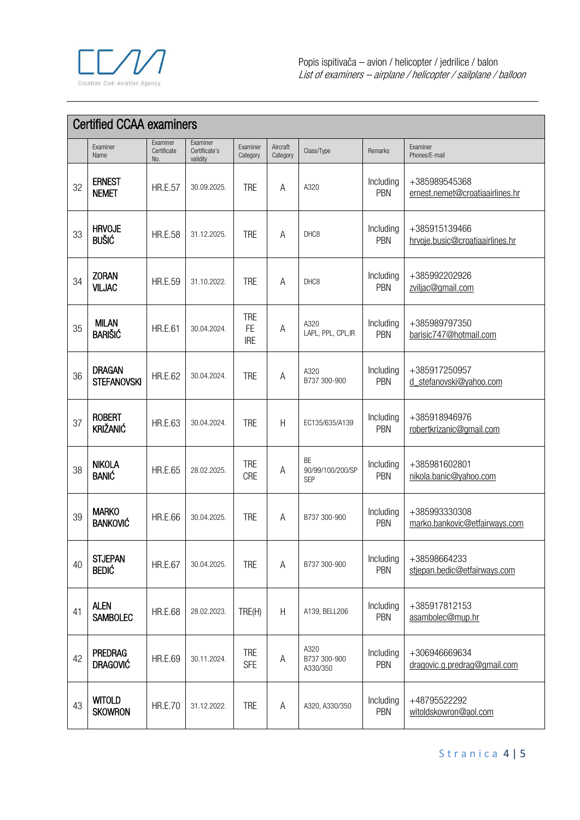

| <b>Certified CCAA examiners</b> |                                     |                                |                                              |                                       |                           |                                             |                  |                                                  |  |  |
|---------------------------------|-------------------------------------|--------------------------------|----------------------------------------------|---------------------------------------|---------------------------|---------------------------------------------|------------------|--------------------------------------------------|--|--|
|                                 | Examiner<br>Name                    | Examiner<br>Certificate<br>No. | <b>Fxaminer</b><br>Certificate's<br>validity | Examiner<br>Category                  | Aircraft<br>Category      | Class/Type                                  | Remarks          | Examiner<br>Phones/E-mail                        |  |  |
| 32                              | <b>ERNEST</b><br><b>NEMET</b>       | <b>HR.E.57</b>                 | 30.09.2025.                                  | <b>TRE</b>                            | A                         | A320                                        | Including<br>PBN | +385989545368<br>ernest.nemet@croatiaairlines.hr |  |  |
| 33                              | <b>HRVOJE</b><br><b>BUŠIĆ</b>       | <b>HR.E.58</b>                 | 31.12.2025.                                  | <b>TRE</b>                            | A                         | DHC <sub>8</sub>                            | Including<br>PBN | +385915139466<br>hrvoje.busic@croatiaairlines.hr |  |  |
| 34                              | <b>ZORAN</b><br><b>VILJAC</b>       | <b>HR.E.59</b>                 | 31.10.2022.                                  | <b>TRE</b>                            | A                         | DHC8                                        | Including<br>PBN | +385992202926<br>zviljac@gmail.com               |  |  |
| 35                              | <b>MILAN</b><br><b>BARIŠIĆ</b>      | <b>HR.E.61</b>                 | 30.04.2024.                                  | <b>TRE</b><br><b>FE</b><br><b>IRE</b> | Α                         | A320<br>LAPL, PPL, CPL, IR                  | Including<br>PBN | +385989797350<br>barisic747@hotmail.com          |  |  |
| 36                              | <b>DRAGAN</b><br><b>STEFANOVSKI</b> | <b>HR.E.62</b>                 | 30.04.2024.                                  | <b>TRE</b>                            | A                         | A320<br>B737 300-900                        | Including<br>PBN | +385917250957<br>d stefanovski@yahoo.com         |  |  |
| 37                              | <b>ROBERT</b><br><b>KRIŽANIĆ</b>    | <b>HR.E.63</b>                 | 30.04.2024.                                  | <b>TRE</b>                            | H                         | EC135/635/A139                              | Including<br>PBN | +385918946976<br>robertkrizanic@gmail.com        |  |  |
| 38                              | <b>NIKOLA</b><br><b>BANIĆ</b>       | <b>HR.E.65</b>                 | 28.02.2025.                                  | <b>TRE</b><br><b>CRE</b>              | Α                         | <b>BE</b><br>90/99/100/200/SP<br><b>SEP</b> | Including<br>PBN | +385981602801<br>nikola.banic@yahoo.com          |  |  |
| 39                              | <b>MARKO</b><br><b>BANKOVIĆ</b>     | <b>HR.E.66</b>                 | 30.04.2025.                                  | <b>TRE</b>                            | Α                         | B737 300-900                                | Including<br>PBN | +385993330308<br>marko.bankovic@etfairways.com   |  |  |
| 40                              | <b>STJEPAN</b><br><b>BEDIĆ</b>      | <b>HR.E.67</b>                 | 30.04.2025.                                  | <b>TRE</b>                            | Α                         | B737 300-900                                | Including<br>PBN | +38598664233<br>stiepan.bedic@etfairways.com     |  |  |
| 41                              | <b>ALEN</b><br><b>SAMBOLEC</b>      | <b>HR.E.68</b>                 | 28.02.2023.                                  | TRE(H)                                | $\boldsymbol{\mathsf{H}}$ | A139, BELL206                               | Including<br>PBN | +385917812153<br>asambolec@mup.hr                |  |  |
| 42                              | <b>PREDRAG</b><br><b>DRAGOVIĆ</b>   | <b>HR.E.69</b>                 | 30.11.2024.                                  | <b>TRE</b><br><b>SFE</b>              | Α                         | A320<br>B737 300-900<br>A330/350            | Including<br>PBN | +306946669634<br>dragovic.g.predrag@gmail.com    |  |  |
| 43                              | <b>WITOLD</b><br><b>SKOWRON</b>     | <b>HR.E.70</b>                 | 31.12.2022.                                  | <b>TRE</b>                            | Α                         | A320, A330/350                              | Including<br>PBN | +48795522292<br>witoldskowron@aol.com            |  |  |